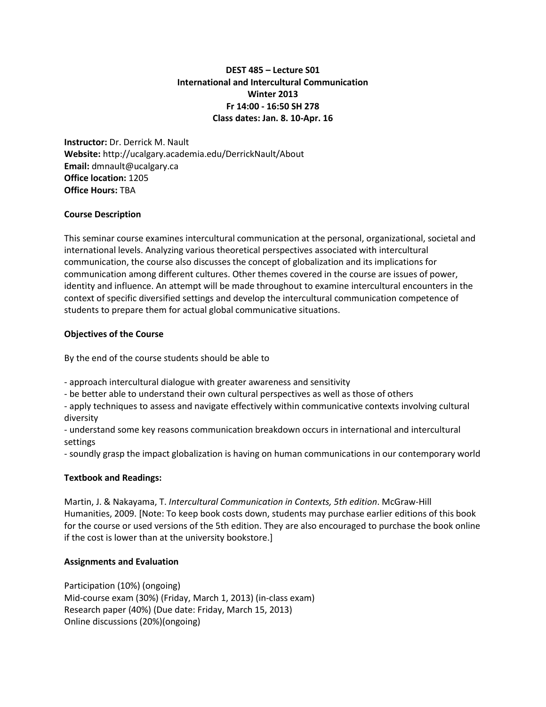# **DEST 485 – Lecture S01 International and Intercultural Communication Winter 2013 Fr 14:00 - 16:50 SH 278 Class dates: Jan. 8. 10-Apr. 16**

**Instructor:** Dr. Derrick M. Nault **Website:** http://ucalgary.academia.edu/DerrickNault/About **Email:** dmnault@ucalgary.ca **Office location:** 1205 **Office Hours:** TBA

### **Course Description**

This seminar course examines intercultural communication at the personal, organizational, societal and international levels. Analyzing various theoretical perspectives associated with intercultural communication, the course also discusses the concept of globalization and its implications for communication among different cultures. Other themes covered in the course are issues of power, identity and influence. An attempt will be made throughout to examine intercultural encounters in the context of specific diversified settings and develop the intercultural communication competence of students to prepare them for actual global communicative situations.

## **Objectives of the Course**

By the end of the course students should be able to

- approach intercultural dialogue with greater awareness and sensitivity

- be better able to understand their own cultural perspectives as well as those of others

- apply techniques to assess and navigate effectively within communicative contexts involving cultural diversity

- understand some key reasons communication breakdown occurs in international and intercultural settings

- soundly grasp the impact globalization is having on human communications in our contemporary world

### **Textbook and Readings:**

Martin, J. & Nakayama, T. *Intercultural Communication in Contexts, 5th edition*. McGraw-Hill Humanities, 2009. [Note: To keep book costs down, students may purchase earlier editions of this book for the course or used versions of the 5th edition. They are also encouraged to purchase the book online if the cost is lower than at the university bookstore.]

### **Assignments and Evaluation**

Participation (10%) (ongoing) Mid-course exam (30%) (Friday, March 1, 2013) (in-class exam) Research paper (40%) (Due date: Friday, March 15, 2013) Online discussions (20%)(ongoing)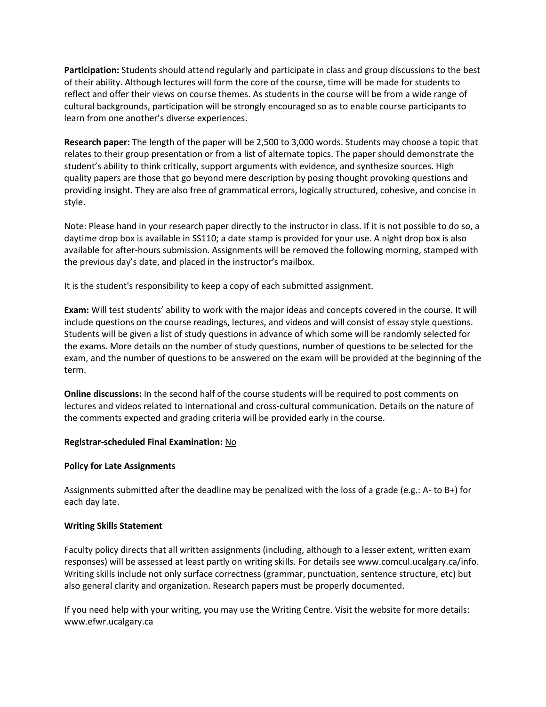**Participation:** Students should attend regularly and participate in class and group discussions to the best of their ability. Although lectures will form the core of the course, time will be made for students to reflect and offer their views on course themes. As students in the course will be from a wide range of cultural backgrounds, participation will be strongly encouraged so as to enable course participants to learn from one another's diverse experiences.

**Research paper:** The length of the paper will be 2,500 to 3,000 words. Students may choose a topic that relates to their group presentation or from a list of alternate topics. The paper should demonstrate the student's ability to think critically, support arguments with evidence, and synthesize sources. High quality papers are those that go beyond mere description by posing thought provoking questions and providing insight. They are also free of grammatical errors, logically structured, cohesive, and concise in style.

Note: Please hand in your research paper directly to the instructor in class. If it is not possible to do so, a daytime drop box is available in SS110; a date stamp is provided for your use. A night drop box is also available for after-hours submission. Assignments will be removed the following morning, stamped with the previous day's date, and placed in the instructor's mailbox.

It is the student's responsibility to keep a copy of each submitted assignment.

**Exam:** Will test students' ability to work with the major ideas and concepts covered in the course. It will include questions on the course readings, lectures, and videos and will consist of essay style questions. Students will be given a list of study questions in advance of which some will be randomly selected for the exams. More details on the number of study questions, number of questions to be selected for the exam, and the number of questions to be answered on the exam will be provided at the beginning of the term.

**Online discussions:** In the second half of the course students will be required to post comments on lectures and videos related to international and cross-cultural communication. Details on the nature of the comments expected and grading criteria will be provided early in the course.

### **Registrar-scheduled Final Examination:** No

### **Policy for Late Assignments**

Assignments submitted after the deadline may be penalized with the loss of a grade (e.g.: A- to B+) for each day late.

### **Writing Skills Statement**

Faculty policy directs that all written assignments (including, although to a lesser extent, written exam responses) will be assessed at least partly on writing skills. For details see www.comcul.ucalgary.ca/info. Writing skills include not only surface correctness (grammar, punctuation, sentence structure, etc) but also general clarity and organization. Research papers must be properly documented.

If you need help with your writing, you may use the Writing Centre. Visit the website for more details: www.efwr.ucalgary.ca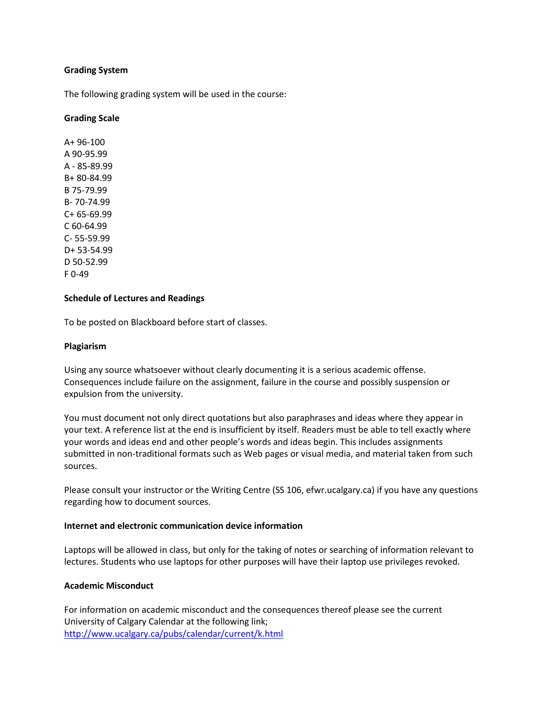### **Grading System**

The following grading system will be used in the course:

#### **Grading Scale**

A+ 96-100 A 90-95.99 A - 85-89.99 B+ 80-84.99 B 75-79.99 B- 70-74.99 C+ 65-69.99 C 60-64.99 C- 55-59.99 D+ 53-54.99 D 50-52.99 F 0-49

#### **Schedule of Lectures and Readings**

To be posted on Blackboard before start of classes.

#### **Plagiarism**

Using any source whatsoever without clearly documenting it is a serious academic offense. Consequences include failure on the assignment, failure in the course and possibly suspension or expulsion from the university.

You must document not only direct quotations but also paraphrases and ideas where they appear in your text. A reference list at the end is insufficient by itself. Readers must be able to tell exactly where your words and ideas end and other people's words and ideas begin. This includes assignments submitted in non-traditional formats such as Web pages or visual media, and material taken from such sources.

Please consult your instructor or the Writing Centre (SS 106, efwr.ucalgary.ca) if you have any questions regarding how to document sources.

#### **Internet and electronic communication device information**

Laptops will be allowed in class, but only for the taking of notes or searching of information relevant to lectures. Students who use laptops for other purposes will have their laptop use privileges revoked.

#### **Academic Misconduct**

For information on academic misconduct and the consequences thereof please see the current University of Calgary Calendar at the following link; <http://www.ucalgary.ca/pubs/calendar/current/k.html>